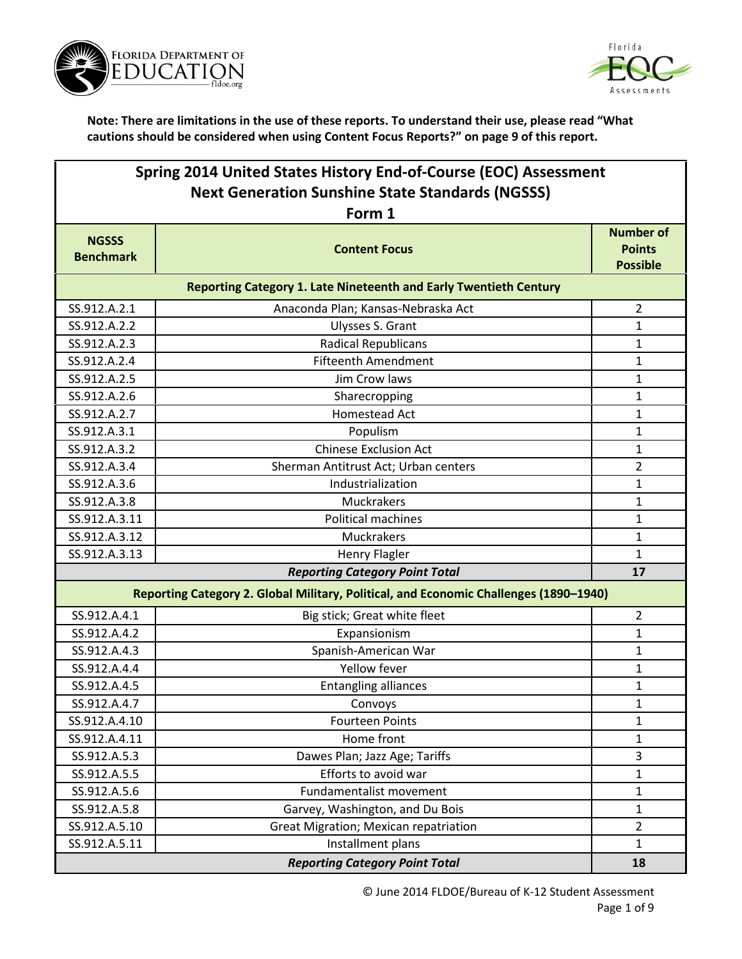



| Spring 2014 United States History End-of-Course (EOC) Assessment |                                                                                       |                                                      |
|------------------------------------------------------------------|---------------------------------------------------------------------------------------|------------------------------------------------------|
| <b>Next Generation Sunshine State Standards (NGSSS)</b>          |                                                                                       |                                                      |
|                                                                  | Form 1                                                                                |                                                      |
| <b>NGSSS</b><br><b>Benchmark</b>                                 | <b>Content Focus</b>                                                                  | <b>Number of</b><br><b>Points</b><br><b>Possible</b> |
|                                                                  | <b>Reporting Category 1. Late Nineteenth and Early Twentieth Century</b>              |                                                      |
| SS.912.A.2.1                                                     | Anaconda Plan; Kansas-Nebraska Act                                                    | $\overline{2}$                                       |
| SS.912.A.2.2                                                     | Ulysses S. Grant                                                                      | $\mathbf{1}$                                         |
| SS.912.A.2.3                                                     | <b>Radical Republicans</b>                                                            | 1                                                    |
| SS.912.A.2.4                                                     | <b>Fifteenth Amendment</b>                                                            | $\mathbf{1}$                                         |
| SS.912.A.2.5                                                     | Jim Crow laws                                                                         | $\mathbf{1}$                                         |
| SS.912.A.2.6                                                     | Sharecropping                                                                         | 1                                                    |
| SS.912.A.2.7                                                     | <b>Homestead Act</b>                                                                  | $\mathbf{1}$                                         |
| SS.912.A.3.1                                                     | Populism                                                                              | 1                                                    |
| SS.912.A.3.2                                                     | <b>Chinese Exclusion Act</b>                                                          | $\mathbf{1}$                                         |
| SS.912.A.3.4                                                     | Sherman Antitrust Act; Urban centers                                                  | $\overline{2}$                                       |
| SS.912.A.3.6                                                     | Industrialization                                                                     | $\mathbf{1}$                                         |
| SS.912.A.3.8                                                     | Muckrakers                                                                            | $\mathbf{1}$                                         |
| SS.912.A.3.11                                                    | Political machines                                                                    | 1                                                    |
| SS.912.A.3.12                                                    | Muckrakers                                                                            | $\mathbf{1}$                                         |
| SS.912.A.3.13                                                    | Henry Flagler                                                                         | $\mathbf{1}$                                         |
|                                                                  | <b>Reporting Category Point Total</b>                                                 | 17                                                   |
|                                                                  | Reporting Category 2. Global Military, Political, and Economic Challenges (1890-1940) |                                                      |
| SS.912.A.4.1                                                     | Big stick; Great white fleet                                                          | $\overline{2}$                                       |
| SS.912.A.4.2                                                     | Expansionism                                                                          | 1                                                    |
| SS.912.A.4.3                                                     | Spanish-American War                                                                  | $\mathbf{1}$                                         |
| SS.912.A.4.4                                                     | Yellow fever                                                                          | $\mathbf{1}$                                         |
| SS.912.A.4.5                                                     | <b>Entangling alliances</b>                                                           | 1                                                    |
| SS.912.A.4.7                                                     | Convoys                                                                               | 1                                                    |
| SS.912.A.4.10                                                    | <b>Fourteen Points</b>                                                                | 1                                                    |
| SS.912.A.4.11                                                    | Home front                                                                            | 1                                                    |
| SS.912.A.5.3                                                     | Dawes Plan; Jazz Age; Tariffs                                                         | 3                                                    |
| SS.912.A.5.5                                                     | Efforts to avoid war                                                                  | 1                                                    |
| SS.912.A.5.6                                                     | Fundamentalist movement                                                               | $\mathbf{1}$                                         |
| SS.912.A.5.8                                                     | Garvey, Washington, and Du Bois                                                       | $\mathbf{1}$                                         |
| SS.912.A.5.10                                                    | Great Migration; Mexican repatriation                                                 | $\overline{2}$                                       |
| SS.912.A.5.11                                                    | Installment plans                                                                     | $\mathbf{1}$                                         |
| <b>Reporting Category Point Total</b><br>18                      |                                                                                       |                                                      |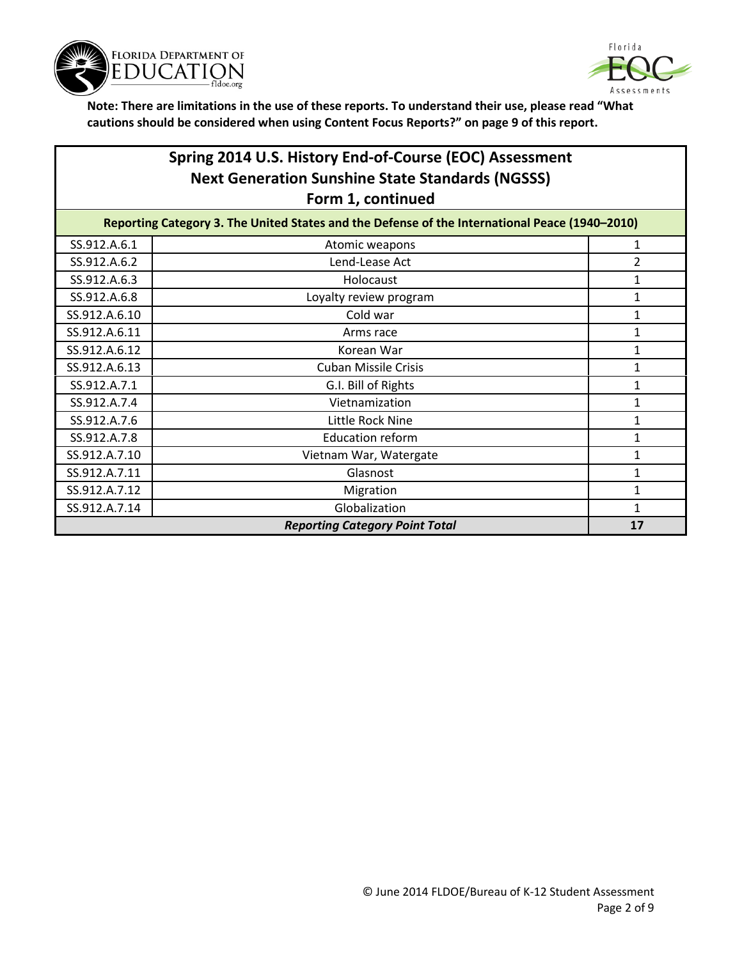



# **Spring 2014 U.S. History End-of-Course (EOC) Assessment Next Generation Sunshine State Standards (NGSSS) Form 1, continued**

| Reporting Category 3. The United States and the Defense of the International Peace (1940-2010) |                                       |    |
|------------------------------------------------------------------------------------------------|---------------------------------------|----|
| SS.912.A.6.1                                                                                   | Atomic weapons                        | 1  |
| SS.912.A.6.2                                                                                   | Lend-Lease Act                        | 2  |
| SS.912.A.6.3                                                                                   | Holocaust                             | 1  |
| SS.912.A.6.8                                                                                   | Loyalty review program                |    |
| SS.912.A.6.10                                                                                  | Cold war                              |    |
| SS.912.A.6.11                                                                                  | Arms race                             | 1  |
| SS.912.A.6.12                                                                                  | Korean War                            | 1  |
| SS.912.A.6.13                                                                                  | <b>Cuban Missile Crisis</b>           | 1  |
| SS.912.A.7.1                                                                                   | G.I. Bill of Rights                   |    |
| SS.912.A.7.4                                                                                   | Vietnamization                        |    |
| SS.912.A.7.6                                                                                   | Little Rock Nine                      | 1  |
| SS.912.A.7.8                                                                                   | <b>Education reform</b>               |    |
| SS.912.A.7.10                                                                                  | Vietnam War, Watergate                |    |
| SS.912.A.7.11                                                                                  | Glasnost                              |    |
| SS.912.A.7.12                                                                                  | Migration                             |    |
| SS.912.A.7.14                                                                                  | Globalization                         |    |
|                                                                                                | <b>Reporting Category Point Total</b> | 17 |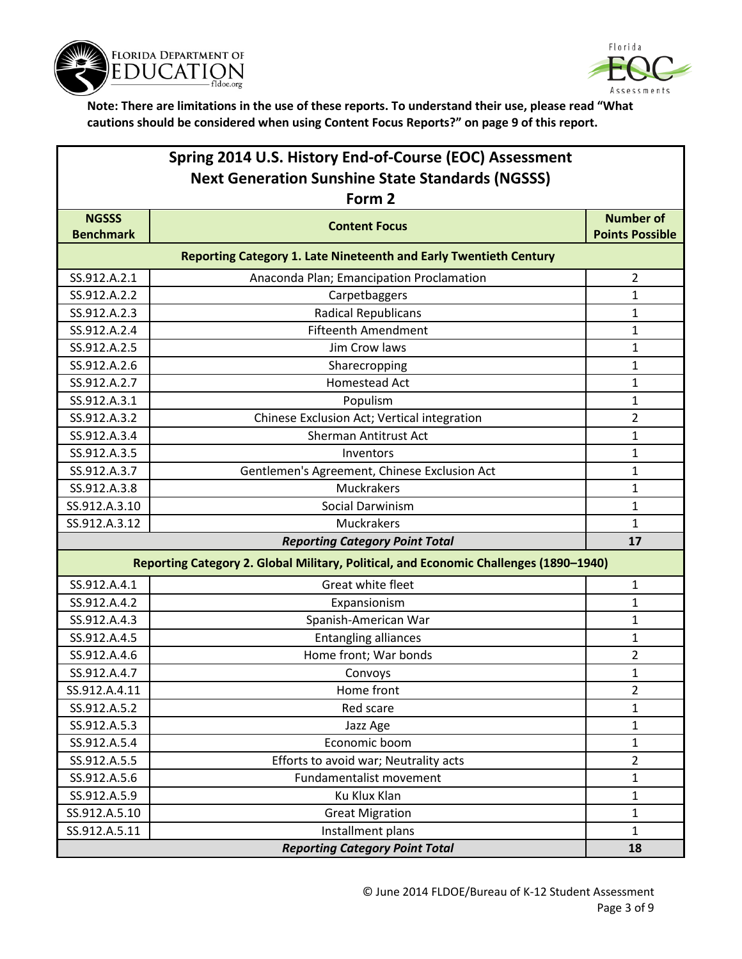



|                  | Spring 2014 U.S. History End-of-Course (EOC) Assessment                               |                        |
|------------------|---------------------------------------------------------------------------------------|------------------------|
|                  | <b>Next Generation Sunshine State Standards (NGSSS)</b><br>Form 2                     |                        |
| <b>NGSSS</b>     |                                                                                       | <b>Number of</b>       |
| <b>Benchmark</b> | <b>Content Focus</b>                                                                  | <b>Points Possible</b> |
|                  | <b>Reporting Category 1. Late Nineteenth and Early Twentieth Century</b>              |                        |
| SS.912.A.2.1     | Anaconda Plan; Emancipation Proclamation                                              | $\overline{2}$         |
| SS.912.A.2.2     | Carpetbaggers                                                                         | 1                      |
| SS.912.A.2.3     | <b>Radical Republicans</b>                                                            | 1                      |
| SS.912.A.2.4     | <b>Fifteenth Amendment</b>                                                            | 1                      |
| SS.912.A.2.5     | Jim Crow laws                                                                         | 1                      |
| SS.912.A.2.6     | Sharecropping                                                                         | 1                      |
| SS.912.A.2.7     | <b>Homestead Act</b>                                                                  | 1                      |
| SS.912.A.3.1     | Populism                                                                              | 1                      |
| SS.912.A.3.2     | Chinese Exclusion Act; Vertical integration                                           | 2                      |
| SS.912.A.3.4     | Sherman Antitrust Act                                                                 | 1                      |
| SS.912.A.3.5     | Inventors                                                                             | 1                      |
| SS.912.A.3.7     | Gentlemen's Agreement, Chinese Exclusion Act                                          | 1                      |
| SS.912.A.3.8     | Muckrakers                                                                            | 1                      |
| SS.912.A.3.10    | Social Darwinism                                                                      | 1                      |
| SS.912.A.3.12    | Muckrakers                                                                            | 1                      |
|                  | <b>Reporting Category Point Total</b>                                                 | 17                     |
|                  | Reporting Category 2. Global Military, Political, and Economic Challenges (1890-1940) |                        |
| SS.912.A.4.1     | Great white fleet                                                                     | 1                      |
| SS.912.A.4.2     | Expansionism                                                                          | 1                      |
| SS.912.A.4.3     | Spanish-American War                                                                  | 1                      |
| SS.912.A.4.5     | <b>Entangling alliances</b>                                                           | 1                      |
| SS.912.A.4.6     | Home front; War bonds                                                                 | $\overline{2}$         |
| SS.912.A.4.7     | Convoys                                                                               | 1                      |
| SS.912.A.4.11    | Home front                                                                            | 2                      |
| SS.912.A.5.2     | Red scare                                                                             | $\mathbf 1$            |
| SS.912.A.5.3     | Jazz Age                                                                              | 1                      |
| SS.912.A.5.4     | Economic boom                                                                         | $\mathbf{1}$           |
| SS.912.A.5.5     | Efforts to avoid war; Neutrality acts                                                 | $\overline{2}$         |
| SS.912.A.5.6     | Fundamentalist movement                                                               | 1                      |
| SS.912.A.5.9     | Ku Klux Klan                                                                          | $\mathbf{1}$           |
| SS.912.A.5.10    | <b>Great Migration</b>                                                                | 1                      |
| SS.912.A.5.11    | Installment plans                                                                     | $\mathbf{1}$           |
|                  | <b>Reporting Category Point Total</b>                                                 | 18                     |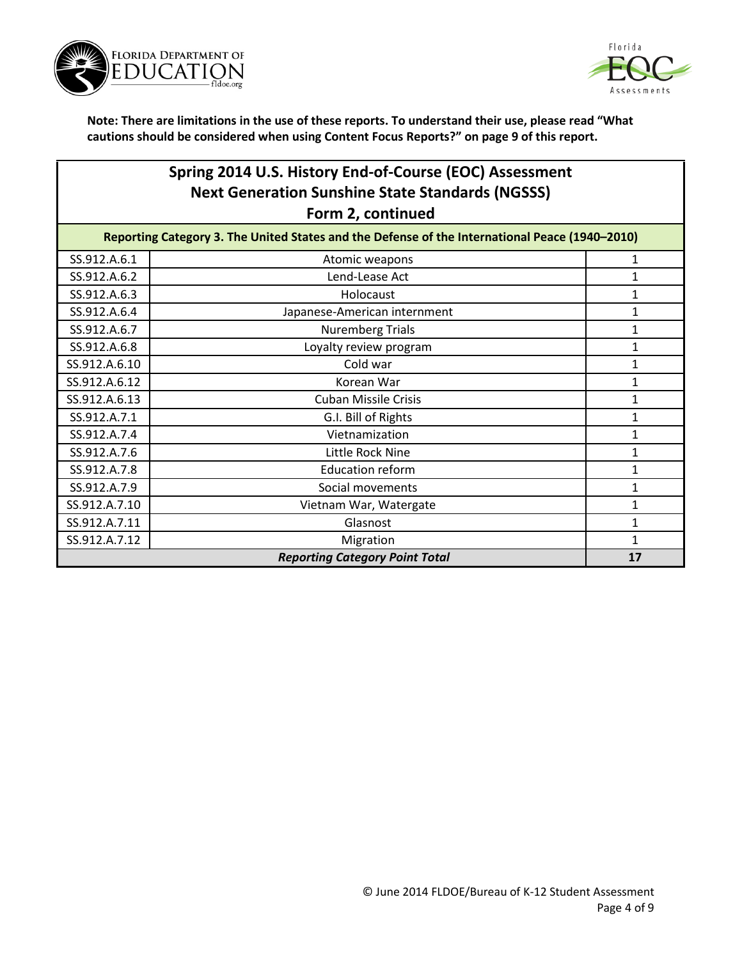



### **Spring 2014 U.S. History End-of-Course (EOC) Assessment Next Generation Sunshine State Standards (NGSSS) Form 2, continued**

| Reporting Category 3. The United States and the Defense of the International Peace (1940-2010) |                              |  |
|------------------------------------------------------------------------------------------------|------------------------------|--|
| SS.912.A.6.1                                                                                   | Atomic weapons               |  |
| SS.912.A.6.2                                                                                   | Lend-Lease Act               |  |
| SS.912.A.6.3                                                                                   | Holocaust                    |  |
| SS.912.A.6.4                                                                                   | Japanese-American internment |  |
| SS.912.A.6.7                                                                                   | <b>Nuremberg Trials</b>      |  |
| SS.912.A.6.8                                                                                   | Loyalty review program       |  |
| SS.912.A.6.10                                                                                  | Cold war                     |  |
| SS.912.A.6.12                                                                                  | Korean War                   |  |
| SS.912.A.6.13                                                                                  | <b>Cuban Missile Crisis</b>  |  |
| SS.912.A.7.1                                                                                   | G.I. Bill of Rights          |  |
| SS.912.A.7.4                                                                                   | Vietnamization               |  |
| SS.912.A.7.6                                                                                   | Little Rock Nine             |  |
| SS.912.A.7.8                                                                                   | <b>Education reform</b>      |  |
| SS.912.A.7.9                                                                                   | Social movements             |  |
| SS.912.A.7.10                                                                                  | Vietnam War, Watergate       |  |
| SS.912.A.7.11                                                                                  | Glasnost                     |  |
| SS.912.A.7.12                                                                                  | Migration                    |  |
| <b>Reporting Category Point Total</b><br>17                                                    |                              |  |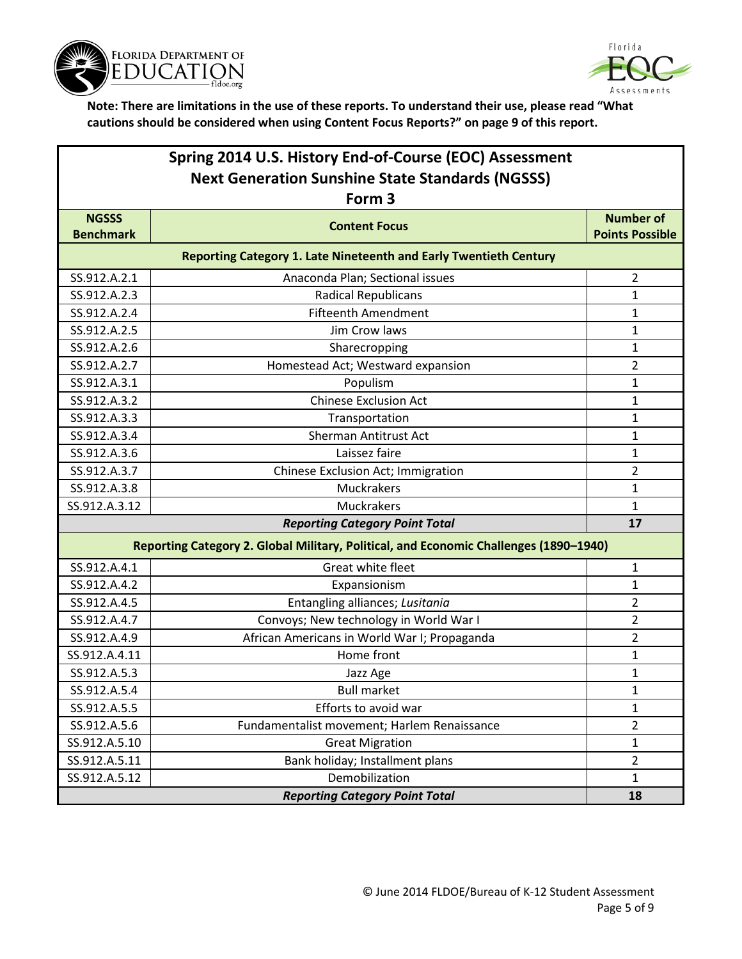



| Spring 2014 U.S. History End-of-Course (EOC) Assessment<br><b>Next Generation Sunshine State Standards (NGSSS)</b><br>Form 3 |                                                                          |                        |  |
|------------------------------------------------------------------------------------------------------------------------------|--------------------------------------------------------------------------|------------------------|--|
| <b>NGSSS</b>                                                                                                                 |                                                                          | <b>Number of</b>       |  |
| <b>Benchmark</b>                                                                                                             | <b>Content Focus</b>                                                     | <b>Points Possible</b> |  |
|                                                                                                                              | <b>Reporting Category 1. Late Nineteenth and Early Twentieth Century</b> |                        |  |
| SS.912.A.2.1                                                                                                                 | Anaconda Plan; Sectional issues                                          | $\overline{2}$         |  |
| SS.912.A.2.3                                                                                                                 | <b>Radical Republicans</b>                                               | 1                      |  |
| SS.912.A.2.4                                                                                                                 | <b>Fifteenth Amendment</b>                                               | 1                      |  |
| SS.912.A.2.5                                                                                                                 | Jim Crow laws                                                            | $\mathbf{1}$           |  |
| SS.912.A.2.6                                                                                                                 | Sharecropping                                                            | 1                      |  |
| SS.912.A.2.7                                                                                                                 | Homestead Act; Westward expansion                                        | $\overline{2}$         |  |
| SS.912.A.3.1                                                                                                                 | Populism                                                                 | 1                      |  |
| SS.912.A.3.2                                                                                                                 | <b>Chinese Exclusion Act</b>                                             | 1                      |  |
| SS.912.A.3.3                                                                                                                 | Transportation                                                           | 1                      |  |
| SS.912.A.3.4                                                                                                                 | Sherman Antitrust Act                                                    | $\mathbf{1}$           |  |
| SS.912.A.3.6                                                                                                                 | Laissez faire                                                            | 1                      |  |
| SS.912.A.3.7                                                                                                                 | Chinese Exclusion Act; Immigration                                       | $\overline{2}$         |  |
| SS.912.A.3.8                                                                                                                 | Muckrakers                                                               | $\mathbf{1}$           |  |
| SS.912.A.3.12                                                                                                                | <b>Muckrakers</b>                                                        | 1                      |  |
|                                                                                                                              | <b>Reporting Category Point Total</b>                                    | 17                     |  |
| Reporting Category 2. Global Military, Political, and Economic Challenges (1890-1940)                                        |                                                                          |                        |  |
| SS.912.A.4.1                                                                                                                 | Great white fleet                                                        | $\mathbf{1}$           |  |
| SS.912.A.4.2                                                                                                                 | Expansionism                                                             | 1                      |  |
| SS.912.A.4.5                                                                                                                 | Entangling alliances; Lusitania                                          | 2                      |  |
| SS.912.A.4.7                                                                                                                 | Convoys; New technology in World War I                                   | $\overline{2}$         |  |
| SS.912.A.4.9                                                                                                                 | African Americans in World War I; Propaganda                             | $\overline{2}$         |  |
| SS.912.A.4.11                                                                                                                | Home front                                                               | 1                      |  |
| SS.912.A.5.3                                                                                                                 | Jazz Age                                                                 | 1                      |  |
| SS.912.A.5.4                                                                                                                 | <b>Bull market</b>                                                       | 1                      |  |
| SS.912.A.5.5                                                                                                                 | Efforts to avoid war                                                     | $\mathbf{1}$           |  |
| SS.912.A.5.6                                                                                                                 | Fundamentalist movement; Harlem Renaissance                              | $\overline{2}$         |  |
| SS.912.A.5.10                                                                                                                | <b>Great Migration</b>                                                   | $\mathbf{1}$           |  |
| SS.912.A.5.11                                                                                                                | Bank holiday; Installment plans                                          | $\overline{2}$         |  |
| SS.912.A.5.12                                                                                                                | Demobilization                                                           | $\mathbf{1}$           |  |
|                                                                                                                              | <b>Reporting Category Point Total</b>                                    | 18                     |  |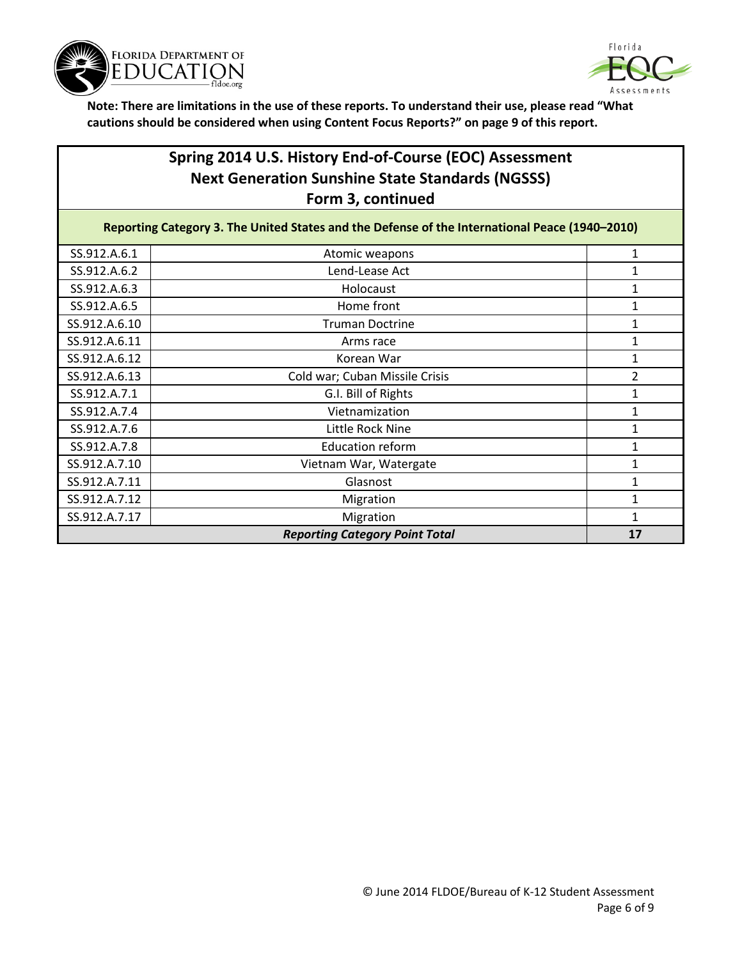



## **Spring 2014 U.S. History End-of-Course (EOC) Assessment Next Generation Sunshine State Standards (NGSSS) Form 3, continued**

| Reporting Category 3. The United States and the Defense of the International Peace (1940-2010) |                                       |                |
|------------------------------------------------------------------------------------------------|---------------------------------------|----------------|
| SS.912.A.6.1                                                                                   | Atomic weapons                        |                |
| SS.912.A.6.2                                                                                   | Lend-Lease Act                        |                |
| SS.912.A.6.3                                                                                   | Holocaust                             |                |
| SS.912.A.6.5                                                                                   | Home front                            |                |
| SS.912.A.6.10                                                                                  | <b>Truman Doctrine</b>                | 1              |
| SS.912.A.6.11                                                                                  | Arms race                             | 1              |
| SS.912.A.6.12                                                                                  | Korean War                            |                |
| SS.912.A.6.13                                                                                  | Cold war; Cuban Missile Crisis        | $\overline{2}$ |
| SS.912.A.7.1                                                                                   | G.I. Bill of Rights                   |                |
| SS.912.A.7.4                                                                                   | Vietnamization                        |                |
| SS.912.A.7.6                                                                                   | Little Rock Nine                      |                |
| SS.912.A.7.8                                                                                   | <b>Education reform</b>               |                |
| SS.912.A.7.10                                                                                  | Vietnam War, Watergate                |                |
| SS.912.A.7.11                                                                                  | Glasnost                              |                |
| SS.912.A.7.12                                                                                  | Migration                             |                |
| SS.912.A.7.17                                                                                  | Migration                             |                |
|                                                                                                | <b>Reporting Category Point Total</b> | 17             |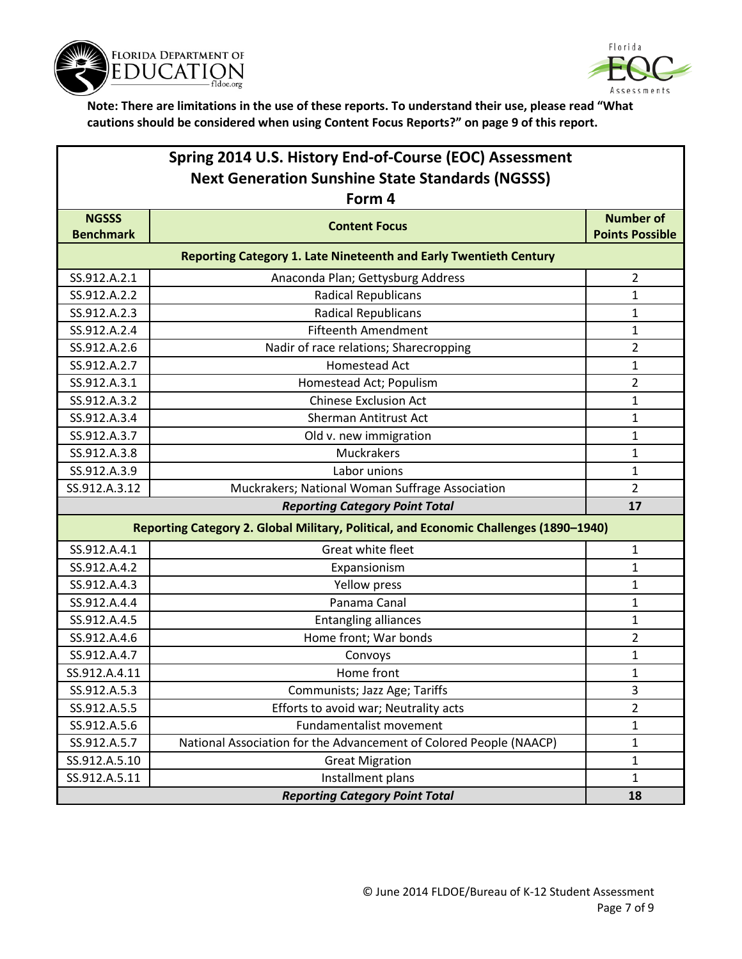



| Spring 2014 U.S. History End-of-Course (EOC) Assessment<br><b>Next Generation Sunshine State Standards (NGSSS)</b> |                                                                                       |                        |
|--------------------------------------------------------------------------------------------------------------------|---------------------------------------------------------------------------------------|------------------------|
|                                                                                                                    | Form 4                                                                                |                        |
| <b>NGSSS</b>                                                                                                       | <b>Content Focus</b>                                                                  | <b>Number of</b>       |
| <b>Benchmark</b>                                                                                                   |                                                                                       | <b>Points Possible</b> |
|                                                                                                                    | <b>Reporting Category 1. Late Nineteenth and Early Twentieth Century</b>              |                        |
| SS.912.A.2.1                                                                                                       | Anaconda Plan; Gettysburg Address                                                     | $\overline{2}$         |
| SS.912.A.2.2                                                                                                       | <b>Radical Republicans</b>                                                            | 1                      |
| SS.912.A.2.3                                                                                                       | <b>Radical Republicans</b>                                                            | 1                      |
| SS.912.A.2.4                                                                                                       | <b>Fifteenth Amendment</b>                                                            | $\mathbf 1$            |
| SS.912.A.2.6                                                                                                       | Nadir of race relations; Sharecropping                                                | $\overline{2}$         |
| SS.912.A.2.7                                                                                                       | Homestead Act                                                                         | 1                      |
| SS.912.A.3.1                                                                                                       | Homestead Act; Populism                                                               | $\overline{2}$         |
| SS.912.A.3.2                                                                                                       | <b>Chinese Exclusion Act</b>                                                          | 1                      |
| SS.912.A.3.4                                                                                                       | <b>Sherman Antitrust Act</b>                                                          | 1                      |
| SS.912.A.3.7                                                                                                       | Old v. new immigration                                                                | $\mathbf 1$            |
| SS.912.A.3.8                                                                                                       | Muckrakers                                                                            | $\mathbf 1$            |
| SS.912.A.3.9                                                                                                       | Labor unions                                                                          | 1                      |
| SS.912.A.3.12                                                                                                      | Muckrakers; National Woman Suffrage Association                                       | $\overline{2}$         |
|                                                                                                                    | <b>Reporting Category Point Total</b>                                                 | 17                     |
|                                                                                                                    | Reporting Category 2. Global Military, Political, and Economic Challenges (1890-1940) |                        |
| SS.912.A.4.1                                                                                                       | Great white fleet                                                                     | 1                      |
| SS.912.A.4.2                                                                                                       | Expansionism                                                                          | 1                      |
| SS.912.A.4.3                                                                                                       | Yellow press                                                                          | 1                      |
| SS.912.A.4.4                                                                                                       | Panama Canal                                                                          | 1                      |
| SS.912.A.4.5                                                                                                       | <b>Entangling alliances</b>                                                           | $\mathbf 1$            |
| SS.912.A.4.6                                                                                                       | Home front; War bonds                                                                 | $\overline{2}$         |
| SS.912.A.4.7                                                                                                       | Convoys                                                                               | 1                      |
| SS.912.A.4.11                                                                                                      | Home front                                                                            | 1                      |
| SS.912.A.5.3                                                                                                       | Communists; Jazz Age; Tariffs                                                         | 3                      |
| SS.912.A.5.5                                                                                                       | Efforts to avoid war; Neutrality acts                                                 | $\overline{2}$         |
| SS.912.A.5.6                                                                                                       | Fundamentalist movement                                                               | 1                      |
| SS.912.A.5.7                                                                                                       | National Association for the Advancement of Colored People (NAACP)                    | $\mathbf{1}$           |
| SS.912.A.5.10                                                                                                      | <b>Great Migration</b>                                                                | 1                      |
| SS.912.A.5.11                                                                                                      | Installment plans                                                                     | $\mathbf{1}$           |
|                                                                                                                    | <b>Reporting Category Point Total</b>                                                 | 18                     |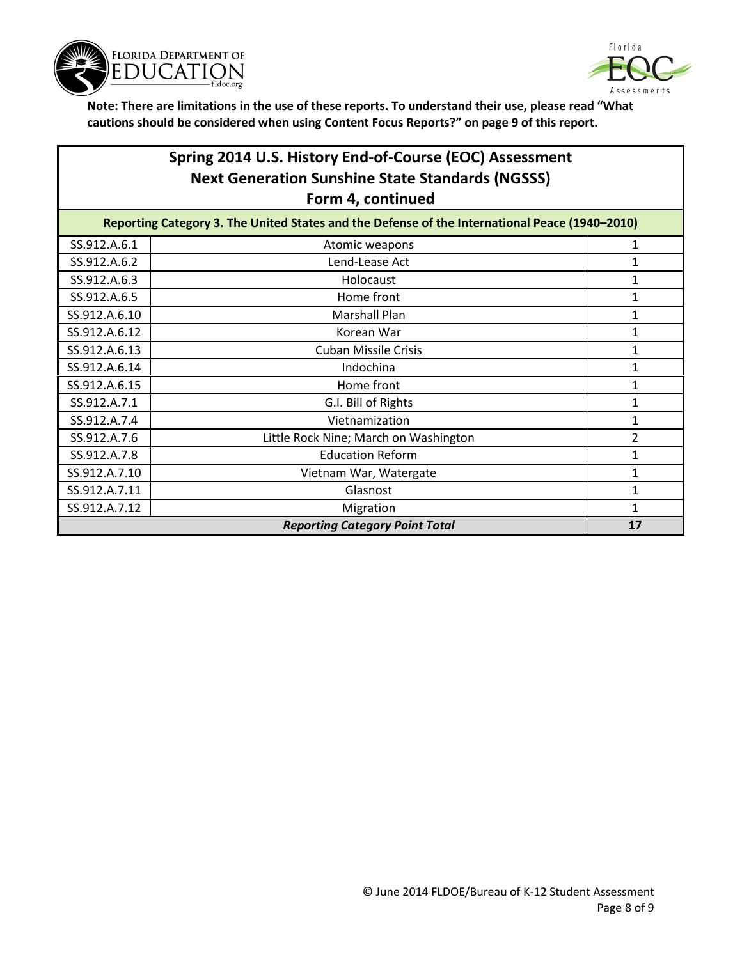



## **Spring 2014 U.S. History End-of-Course (EOC) Assessment Next Generation Sunshine State Standards (NGSSS) Form 4, continued**

| Reporting Category 3. The United States and the Defense of the International Peace (1940-2010) |                                       |    |
|------------------------------------------------------------------------------------------------|---------------------------------------|----|
| SS.912.A.6.1                                                                                   | Atomic weapons                        |    |
| SS.912.A.6.2                                                                                   | Lend-Lease Act                        |    |
| SS.912.A.6.3                                                                                   | Holocaust                             | 1  |
| SS.912.A.6.5                                                                                   | Home front                            | 1  |
| SS.912.A.6.10                                                                                  | Marshall Plan                         | 1  |
| SS.912.A.6.12                                                                                  | Korean War                            | 1  |
| SS.912.A.6.13                                                                                  | <b>Cuban Missile Crisis</b>           | 1  |
| SS.912.A.6.14                                                                                  | Indochina                             | 1  |
| SS.912.A.6.15                                                                                  | Home front                            |    |
| SS.912.A.7.1                                                                                   | G.I. Bill of Rights                   |    |
| SS.912.A.7.4                                                                                   | Vietnamization                        |    |
| SS.912.A.7.6                                                                                   | Little Rock Nine; March on Washington | 2  |
| SS.912.A.7.8                                                                                   | <b>Education Reform</b>               | 1  |
| SS.912.A.7.10                                                                                  | Vietnam War, Watergate                | 1  |
| SS.912.A.7.11                                                                                  | Glasnost                              | 1  |
| SS.912.A.7.12                                                                                  | Migration                             | 1  |
|                                                                                                | <b>Reporting Category Point Total</b> | 17 |